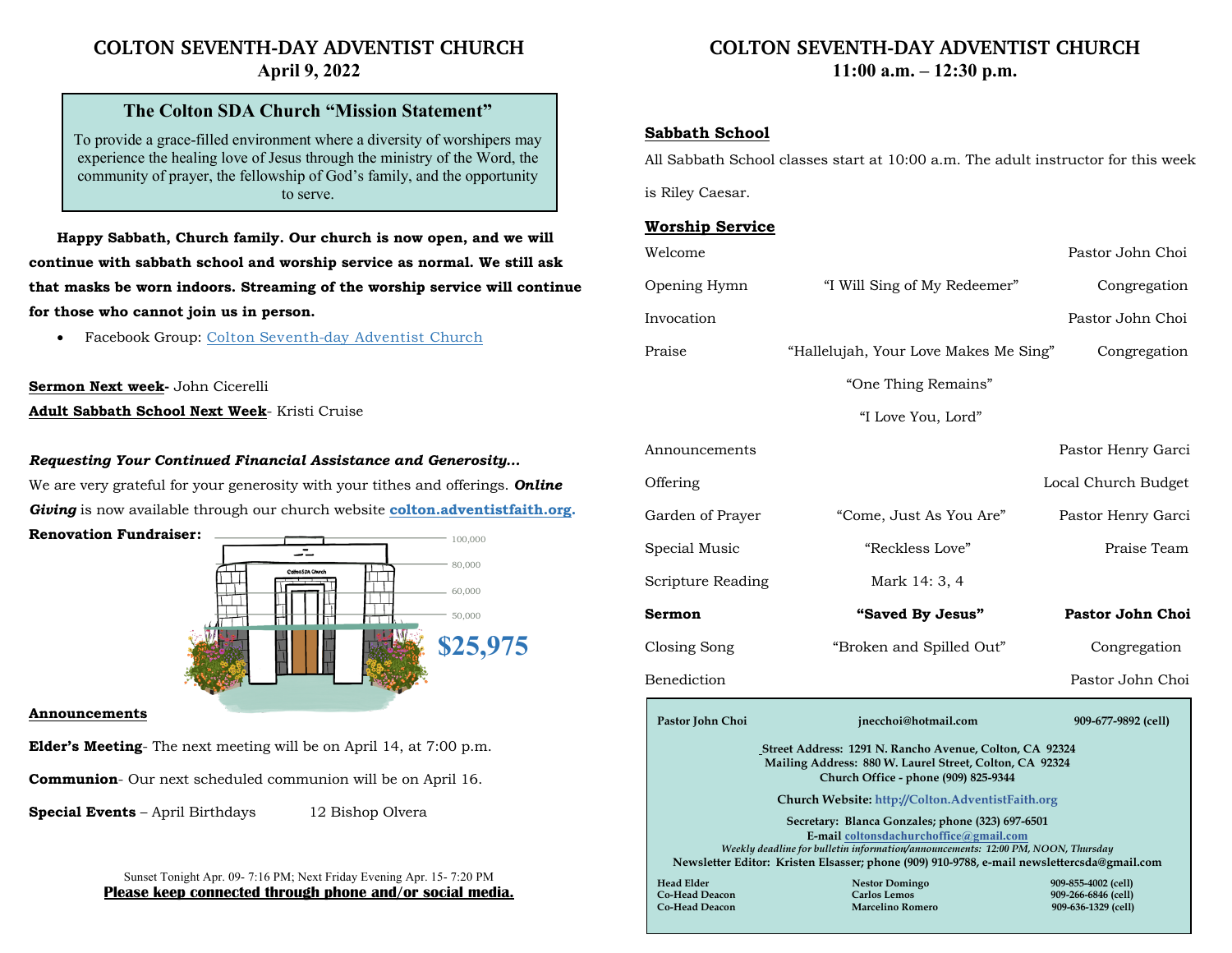# **COLTON SEVENTH-DAY ADVENTIST CHURCH April 9, 2022**

## **The Colton SDA Church "Mission Statement"**

To provide a grace-filled environment where a diversity of worshipers may experience the healing love of Jesus through the ministry of the Word, the community of prayer, the fellowship of God's family, and the opportunity to serve.

**Happy Sabbath, Church family. Our church is now open, and we will continue with sabbath school and worship service as normal. We still ask that masks be worn indoors. Streaming of the worship service will continue for those who cannot join us in person.**

• Facebook Group: Colton Seventh-day Adventist Church

### **Sermon Next week-** John Cicerelli

**Adult Sabbath School Next Week**- Kristi Cruise

### *Requesting Your Continued Financial Assistance and Generosity…*

We are very grateful for your generosity with your tithes and offerings. *Online Giving* is now available through our church website **colton.adventistfaith.org.**

**Renovation Fundraiser:**



#### **Announcements**

**Elder's Meeting**- The next meeting will be on April 14, at 7:00 p.m.

**Communion**- Our next scheduled communion will be on April 16.

**Special Events** – April Birthdays 12 Bishop Olvera

Sunset Tonight Apr. 09- 7:16 PM; Next Friday Evening Apr. 15- 7:20 PM **Please keep connected through phone and/or social media.**

# **COLTON SEVENTH-DAY ADVENTIST CHURCH 11:00 a.m. – 12:30 p.m.**

### **Sabbath School**

All Sabbath School classes start at 10:00 a.m. The adult instructor for this week

is Riley Caesar.

### **Worship Service**

| Welcome                                                                                                                                                                                                                                                                                                                                                                                                                                                                                        |                                       | Pastor John Choi        |
|------------------------------------------------------------------------------------------------------------------------------------------------------------------------------------------------------------------------------------------------------------------------------------------------------------------------------------------------------------------------------------------------------------------------------------------------------------------------------------------------|---------------------------------------|-------------------------|
| Opening Hymn                                                                                                                                                                                                                                                                                                                                                                                                                                                                                   | "I Will Sing of My Redeemer"          | Congregation            |
| Invocation                                                                                                                                                                                                                                                                                                                                                                                                                                                                                     |                                       | Pastor John Choi        |
| Praise                                                                                                                                                                                                                                                                                                                                                                                                                                                                                         | "Hallelujah, Your Love Makes Me Sing" | Congregation            |
|                                                                                                                                                                                                                                                                                                                                                                                                                                                                                                | "One Thing Remains"                   |                         |
|                                                                                                                                                                                                                                                                                                                                                                                                                                                                                                | "I Love You, Lord"                    |                         |
| Announcements                                                                                                                                                                                                                                                                                                                                                                                                                                                                                  |                                       | Pastor Henry Garci      |
| Offering                                                                                                                                                                                                                                                                                                                                                                                                                                                                                       |                                       | Local Church Budget     |
| Garden of Prayer                                                                                                                                                                                                                                                                                                                                                                                                                                                                               | "Come, Just As You Are"               | Pastor Henry Garci      |
| Special Music                                                                                                                                                                                                                                                                                                                                                                                                                                                                                  | "Reckless Love"                       | Praise Team             |
| Scripture Reading                                                                                                                                                                                                                                                                                                                                                                                                                                                                              | Mark 14: 3, 4                         |                         |
| Sermon                                                                                                                                                                                                                                                                                                                                                                                                                                                                                         | "Saved By Jesus"                      | <b>Pastor John Choi</b> |
| Closing Song                                                                                                                                                                                                                                                                                                                                                                                                                                                                                   | "Broken and Spilled Out"              | Congregation            |
| <b>Benediction</b>                                                                                                                                                                                                                                                                                                                                                                                                                                                                             |                                       | Pastor John Choi        |
| Pastor John Choi                                                                                                                                                                                                                                                                                                                                                                                                                                                                               | jnecchoi@hotmail.com                  | 909-677-9892 (cell)     |
| Street Address: 1291 N. Rancho Avenue, Colton, CA 92324<br>Mailing Address: 880 W. Laurel Street, Colton, CA 92324<br>Church Office - phone (909) 825-9344<br>Church Website: http://Colton.AdventistFaith.org<br>Secretary: Blanca Gonzales; phone (323) 697-6501<br>E-mail coltonsdachurchoffice@gmail.com<br>Weekly deadline for bulletin information/announcements: 12:00 PM, NOON, Thursday<br>Newsletter Editor: Kristen Elsasser; phone (909) 910-9788, e-mail newslettercsda@gmail.com |                                       |                         |
| <b>Head Elder</b><br><b>Co-Head Deacon</b>                                                                                                                                                                                                                                                                                                                                                                                                                                                     | <b>Nestor Domingo</b>                 | 909-855-4002 (cell)     |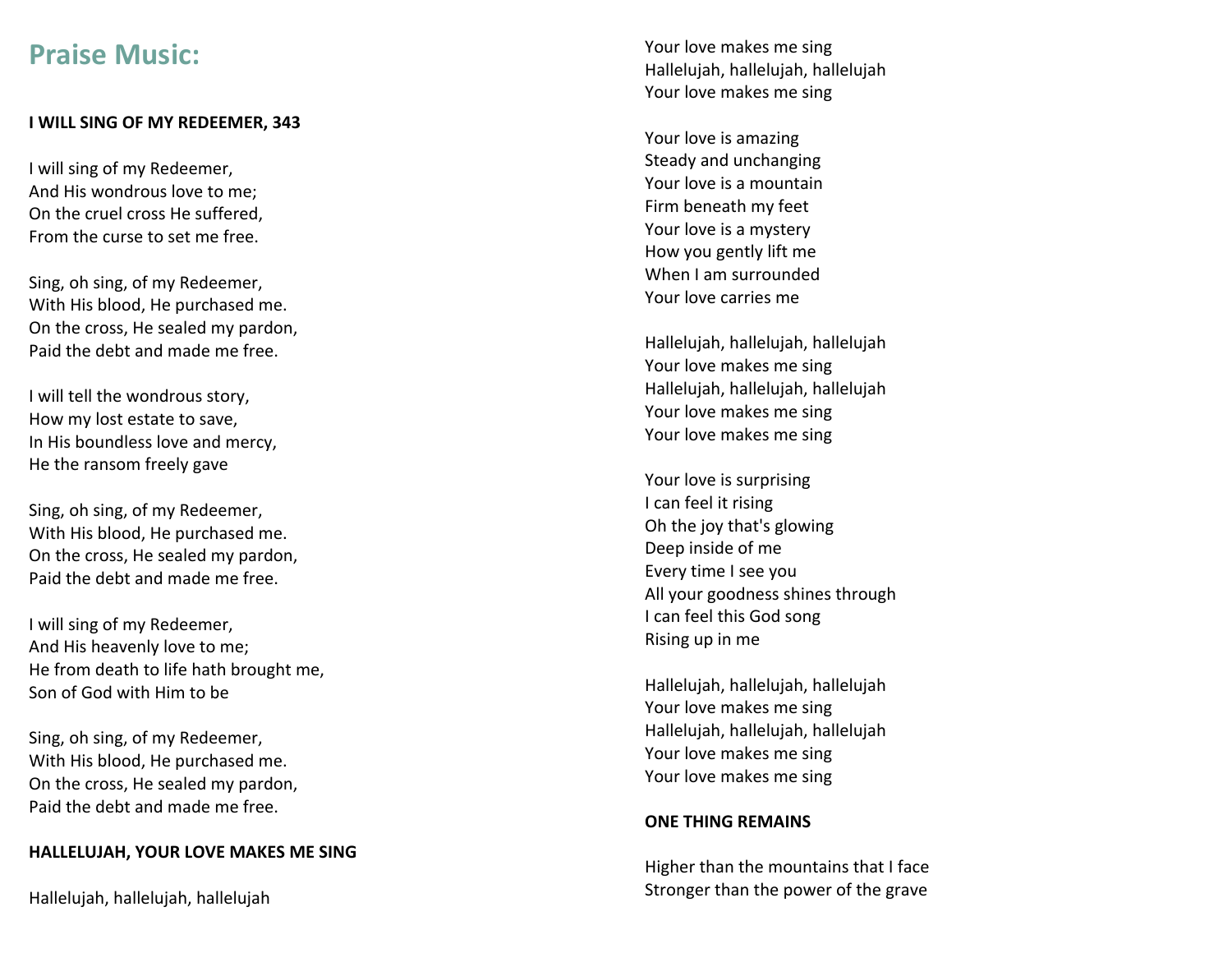# **Praise Music:**

## **I WILL SING OF MY REDEEMER, 343**

I will sing of my Redeemer, And His wondrous love to me; On the cruel cross He suffered, From the curse to set me free.

Sing, oh sing, of my Redeemer, With His blood, He purchased me. On the cross, He sealed my pardon, Paid the debt and made me free.

I will tell the wondrous story, How my lost estate to save, In His boundless love and mercy, He the ransom freely gave

Sing, oh sing, of my Redeemer, With His blood, He purchased me. On the cross, He sealed my pardon, Paid the debt and made me free.

I will sing of my Redeemer, And His heavenly love to me; He from death to life hath brought me, Son of God with Him to be

Sing, oh sing, of my Redeemer, With His blood, He purchased me. On the cross, He sealed my pardon, Paid the debt and made me free.

### **HALLELUJAH, YOUR LOVE MAKES ME SING**

Hallelujah, hallelujah, hallelujah

Your love makes me sing Hallelujah, hallelujah, hallelujah Your love makes me sing

Your love is amazing Steady and unchanging Your love is a mountain Firm beneath my feet Your love is a mystery How you gently lift me When I am surrounded Your love carries me

Hallelujah, hallelujah, hallelujah Your love makes me sing Hallelujah, hallelujah, hallelujah Your love makes me sing Your love makes me sing

Your love is surprising I can feel it rising Oh the joy that's glowing Deep inside of me Every time I see you All your goodness shines through I can feel this God song Rising up in me

Hallelujah, hallelujah, hallelujah Your love makes me sing Hallelujah, hallelujah, hallelujah Your love makes me sing Your love makes me sing

### **ONE THING REMAINS**

Higher than the mountains that I face Stronger than the power of the grave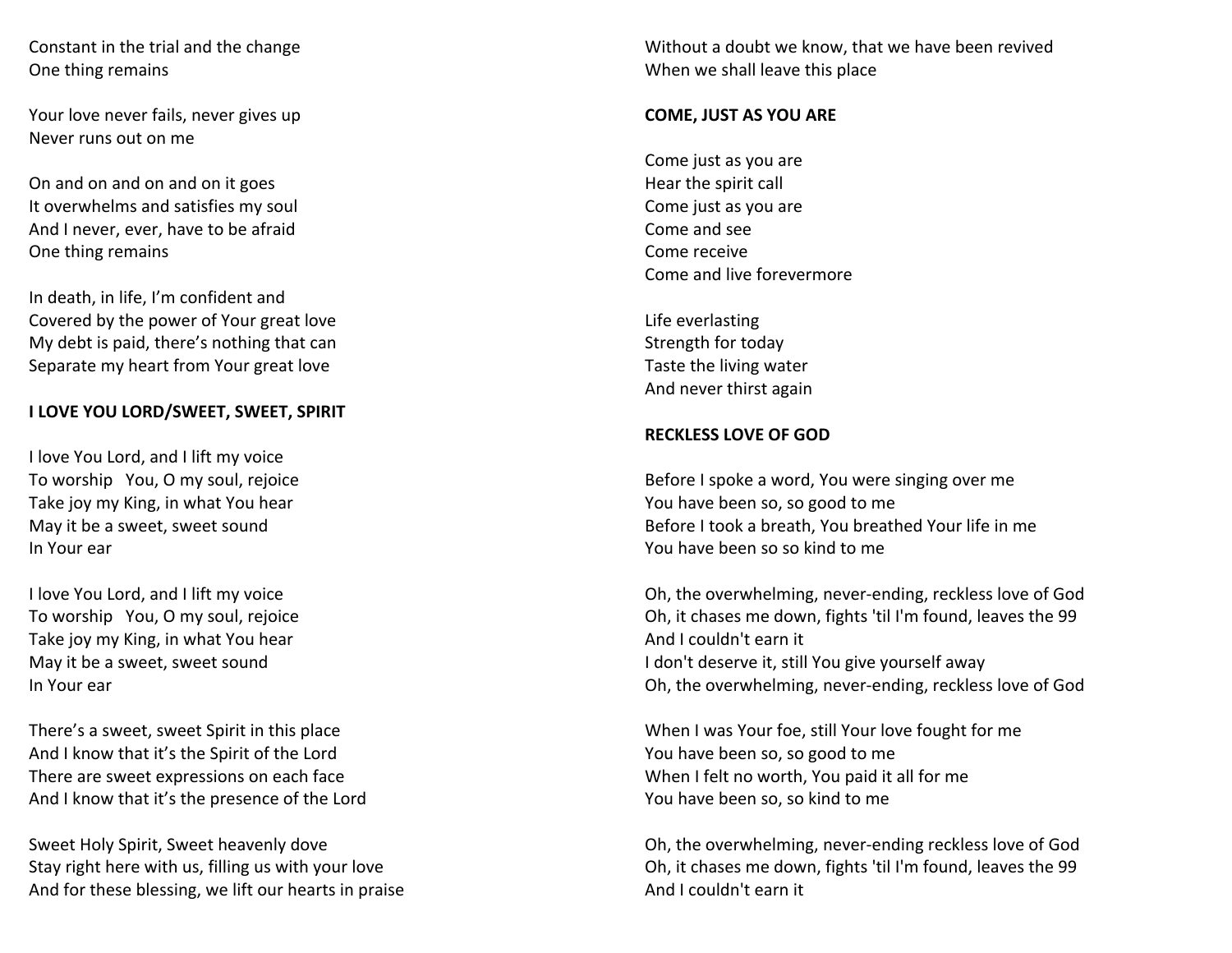Constant in the trial and the change One thing remains

Your love never fails, never gives up Never runs out on me

On and on and on and on it goes It overwhelms and satisfies my soul And I never, ever, have to be afraid One thing remains

In death, in life, I'm confident and Covered by the power of Your great love My debt is paid, there's nothing that can Separate my heart from Your great love

## **I LOVE YOU LORD/SWEET, SWEET, SPIRIT**

I love You Lord, and I lift my voice To worship You, O my soul, rejoice Take joy my King, in what You hear May it be a sweet, sweet sound In Your ear

I love You Lord, and I lift my voice To worship You, O my soul, rejoice Take joy my King, in what You hear May it be a sweet, sweet sound In Your ear

There's a sweet, sweet Spirit in this place And I know that it's the Spirit of the Lord There are sweet expressions on each face And I know that it's the presence of the Lord

Sweet Holy Spirit, Sweet heavenly dove Stay right here with us, filling us with your love And for these blessing, we lift our hearts in praise Without a doubt we know, that we have been revived When we shall leave this place

### **COME, JUST AS YOU ARE**

Come just as you are Hear the spirit call Come just as you are Come and see Come receive Come and live forevermore

Life everlasting Strength for today Taste the living water And never thirst again

### **RECKLESS LOVE OF GOD**

Before I spoke a word, You were singing over me You have been so, so good to me Before I took a breath, You breathed Your life in me You have been so so kind to me

Oh, the overwhelming, never-ending, reckless love of God Oh, it chases me down, fights 'til I'm found, leaves the 99 And I couldn't earn it I don't deserve it, still You give yourself away Oh, the overwhelming, never-ending, reckless love of God

When I was Your foe, still Your love fought for me You have been so, so good to me When I felt no worth, You paid it all for me You have been so, so kind to me

Oh, the overwhelming, never-ending reckless love of God Oh, it chases me down, fights 'til I'm found, leaves the 99 And I couldn't earn it